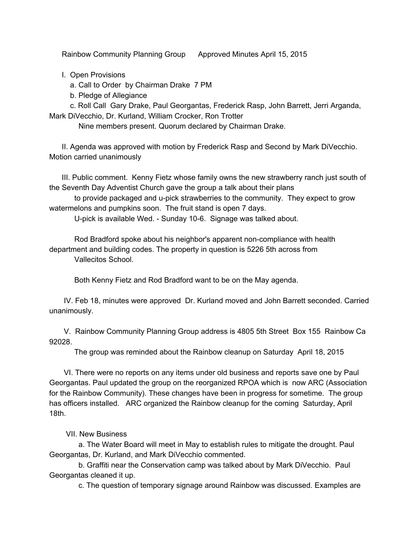Rainbow Community Planning Group Approved Minutes April 15, 2015

I. Open Provisions

a. Call to Order by Chairman Drake 7 PM

b. Pledge of Allegiance

c. Roll Call Gary Drake, Paul Georgantas, Frederick Rasp, John Barrett, Jerri Arganda, Mark DiVecchio, Dr. Kurland, William Crocker, Ron Trotter

Nine members present. Quorum declared by Chairman Drake.

II. Agenda was approved with motion by Frederick Rasp and Second by Mark DiVecchio. Motion carried unanimously

III. Public comment. Kenny Fietz whose family owns the new strawberry ranch just south of the Seventh Day Adventist Church gave the group a talk about their plans

to provide packaged and u-pick strawberries to the community. They expect to grow watermelons and pumpkins soon. The fruit stand is open 7 days.

U-pick is available Wed. - Sunday 10-6. Signage was talked about.

Rod Bradford spoke about his neighbor's apparent non-compliance with health department and building codes. The property in question is 5226 5th across from Vallecitos School.

Both Kenny Fietz and Rod Bradford want to be on the May agenda.

IV. Feb 18, minutes were approved Dr. Kurland moved and John Barrett seconded. Carried unanimously.

V. Rainbow Community Planning Group address is 4805 5th Street Box 155 Rainbow Ca 92028.

The group was reminded about the Rainbow cleanup on Saturday April 18, 2015

VI. There were no reports on any items under old business and reports save one by Paul Georgantas. Paul updated the group on the reorganized RPOA which is now ARC (Association for the Rainbow Community). These changes have been in progress for sometime. The group has officers installed. ARC organized the Rainbow cleanup for the coming Saturday, April 18th.

VII. New Business

a. The Water Board will meet in May to establish rules to mitigate the drought. Paul Georgantas, Dr. Kurland, and Mark DiVecchio commented.

b. Graffiti near the Conservation camp was talked about by Mark DiVecchio. Paul Georgantas cleaned it up.

c. The question of temporary signage around Rainbow was discussed. Examples are